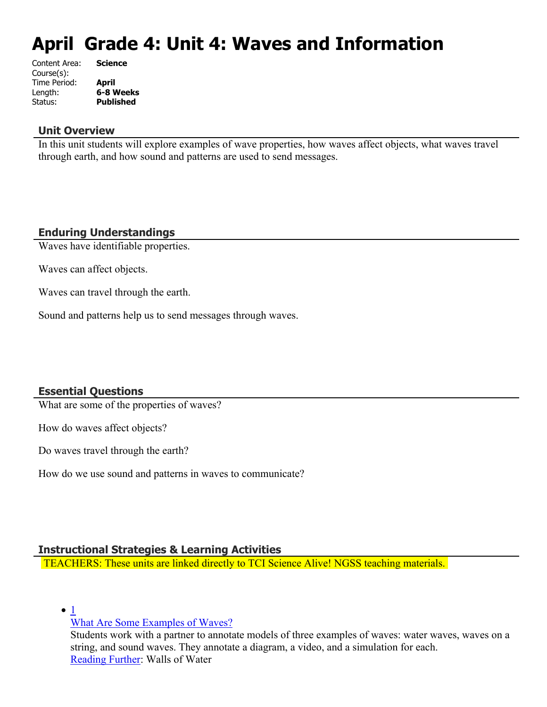# **April Grade 4: Unit 4: Waves and Information**

| Content Area: | <b>Science</b>   |
|---------------|------------------|
| Course(s):    |                  |
| Time Period:  | <b>April</b>     |
| Length:       | 6-8 Weeks        |
| Status:       | <b>Published</b> |
|               |                  |

### **Unit Overview**

In this unit students will explore examples of wave properties, how waves affect objects, what waves travel through earth, and how sound and patterns are used to send messages.

# **Enduring Understandings**

Waves have identifiable properties.

Waves can affect objects.

Waves can travel through the earth.

Sound and patterns help us to send messages through waves.

### **Essential Questions**

What are some of the properties of waves?

How do waves affect objects?

Do waves travel through the earth?

How do we use sound and patterns in waves to communicate?

### **Instructional Strategies & Learning Activities**

TEACHERS: These units are linked directly to TCI Science Alive! NGSS teaching materials.

 $\bullet$  [1](https://subscriptions.teachtci.com/shared/programs/155/lessons/1530/slide_shows)

[What Are Some Examples of Waves?](https://subscriptions.teachtci.com/shared/programs/155/lessons/1530/slide_shows)

Students work with a partner to annotate models of three examples of waves: water waves, waves on a string, and sound waves. They annotate a diagram, a video, and a simulation for each. [Reading Further](https://subscriptions.teachtci.com/shared/sections/11954?program_id=155&student_view=true): Walls of Water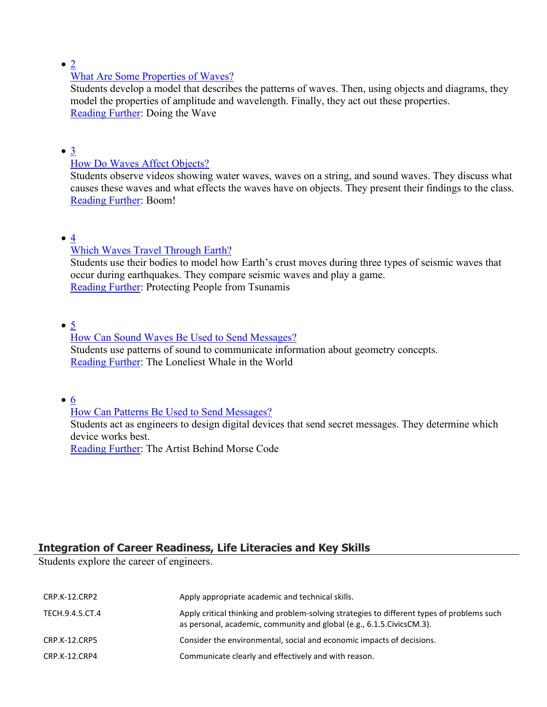$\bullet$  [2](https://subscriptions.teachtci.com/shared/programs/155/lessons/1531/slide_shows)

# [What Are Some Properties of Waves?](https://subscriptions.teachtci.com/shared/programs/155/lessons/1531/slide_shows)

Students develop a model that describes the patterns of waves. Then, using objects and diagrams, they model the properties of amplitude and wavelength. Finally, they act out these properties. [Reading Further](https://subscriptions.teachtci.com/shared/sections/12003?program_id=155&student_view=true): Doing the Wave

### $\bullet$   $\underline{3}$  $\underline{3}$  $\underline{3}$

### [How Do Waves Affect Objects?](https://subscriptions.teachtci.com/shared/programs/155/lessons/1532/slide_shows)

Students observe videos showing water waves, waves on a string, and sound waves. They discuss what causes these waves and what effects the waves have on objects. They present their findings to the class. [Reading Further](https://subscriptions.teachtci.com/shared/sections/12014?program_id=155&student_view=true): Boom!

# $\bullet$  [4](https://subscriptions.teachtci.com/shared/programs/155/lessons/1533/slide_shows)

# [Which Waves Travel Through Earth?](https://subscriptions.teachtci.com/shared/programs/155/lessons/1533/slide_shows)

Students use their bodies to model how Earth's crust moves during three types of seismic waves that occur during earthquakes. They compare seismic waves and play a game. [Reading Further](https://subscriptions.teachtci.com/shared/sections/12039?program_id=155&student_view=true): Protecting People from Tsunamis

# $\bullet$  [5](https://subscriptions.teachtci.com/shared/programs/155/lessons/1534/slide_shows)

### [How Can Sound Waves Be Used to Send Messages?](https://subscriptions.teachtci.com/shared/programs/155/lessons/1534/slide_shows) Students use patterns of sound to communicate information about geometry concepts. [Reading Further](https://subscriptions.teachtci.com/shared/sections/12046?program_id=155&student_view=true): The Loneliest Whale in the World

[6](https://subscriptions.teachtci.com/shared/programs/155/lessons/1535/slide_shows)

# [How Can Patterns Be Used to Send Messages?](https://subscriptions.teachtci.com/shared/programs/155/lessons/1535/slide_shows)

Students act as engineers to design digital devices that send secret messages. They determine which device works best.

[Reading Further](https://subscriptions.teachtci.com/shared/sections/12053?program_id=155&student_view=true): The Artist Behind Morse Code

# **Integration of Career Readiness, Life Literacies and Key Skills**

Students explore the career of engineers.

| CRP.K-12.CRP2   | Apply appropriate academic and technical skills.                                                                                                                      |
|-----------------|-----------------------------------------------------------------------------------------------------------------------------------------------------------------------|
| TECH.9.4.5.CT.4 | Apply critical thinking and problem-solving strategies to different types of problems such<br>as personal, academic, community and global (e.g., 6.1.5. Civics CM.3). |
| CRP.K-12.CRP5   | Consider the environmental, social and economic impacts of decisions.                                                                                                 |
| CRP.K-12.CRP4   | Communicate clearly and effectively and with reason.                                                                                                                  |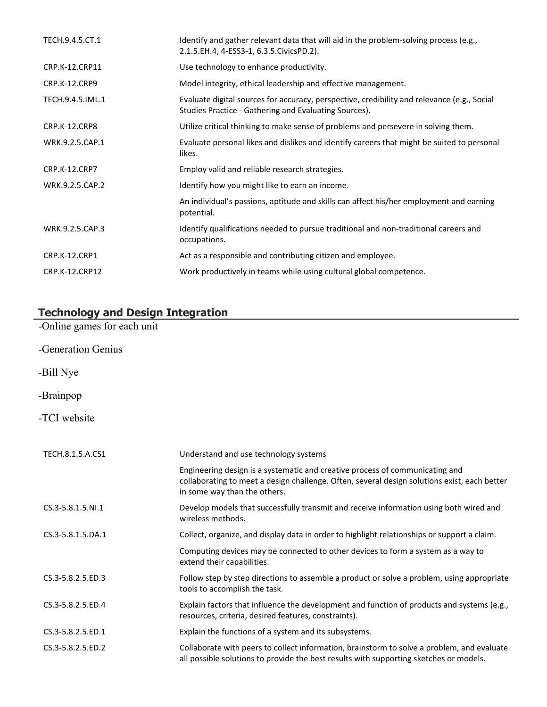| TECH.9.4.5.CT.1      | Identify and gather relevant data that will aid in the problem-solving process (e.g.,<br>2.1.5.EH.4, 4-ESS3-1, 6.3.5.CivicsPD.2).                    |
|----------------------|------------------------------------------------------------------------------------------------------------------------------------------------------|
| CRP.K-12.CRP11       | Use technology to enhance productivity.                                                                                                              |
| <b>CRP.K-12.CRP9</b> | Model integrity, ethical leadership and effective management.                                                                                        |
| TECH.9.4.5.IML.1     | Evaluate digital sources for accuracy, perspective, credibility and relevance (e.g., Social<br>Studies Practice - Gathering and Evaluating Sources). |
| CRP.K-12.CRP8        | Utilize critical thinking to make sense of problems and persevere in solving them.                                                                   |
| WRK.9.2.5.CAP.1      | Evaluate personal likes and dislikes and identify careers that might be suited to personal<br>likes.                                                 |
| <b>CRP.K-12.CRP7</b> | Employ valid and reliable research strategies.                                                                                                       |
| WRK.9.2.5.CAP.2      | Identify how you might like to earn an income.                                                                                                       |
|                      | An individual's passions, aptitude and skills can affect his/her employment and earning<br>potential.                                                |
| WRK.9.2.5.CAP.3      | Identify qualifications needed to pursue traditional and non-traditional careers and<br>occupations.                                                 |
| <b>CRP.K-12.CRP1</b> | Act as a responsible and contributing citizen and employee.                                                                                          |
| CRP.K-12.CRP12       | Work productively in teams while using cultural global competence.                                                                                   |

# **Technology and Design Integration**

-Online games for each unit

- -Generation Genius
- -Bill Nye
- -Brainpop
- -TCI website

| TECH.8.1.5.A.CS1  | Understand and use technology systems                                                                                                                                                                        |
|-------------------|--------------------------------------------------------------------------------------------------------------------------------------------------------------------------------------------------------------|
|                   | Engineering design is a systematic and creative process of communicating and<br>collaborating to meet a design challenge. Often, several design solutions exist, each better<br>in some way than the others. |
| CS.3-5.8.1.5.NI.1 | Develop models that successfully transmit and receive information using both wired and<br>wireless methods.                                                                                                  |
| CS.3-5.8.1.5.DA.1 | Collect, organize, and display data in order to highlight relationships or support a claim.                                                                                                                  |
|                   | Computing devices may be connected to other devices to form a system as a way to<br>extend their capabilities.                                                                                               |
| CS.3-5.8.2.5.ED.3 | Follow step by step directions to assemble a product or solve a problem, using appropriate<br>tools to accomplish the task.                                                                                  |
| CS.3-5.8.2.5.ED.4 | Explain factors that influence the development and function of products and systems (e.g.,<br>resources, criteria, desired features, constraints).                                                           |
| CS.3-5.8.2.5.ED.1 | Explain the functions of a system and its subsystems.                                                                                                                                                        |
| CS.3-5.8.2.5.ED.2 | Collaborate with peers to collect information, brainstorm to solve a problem, and evaluate<br>all possible solutions to provide the best results with supporting sketches or models.                         |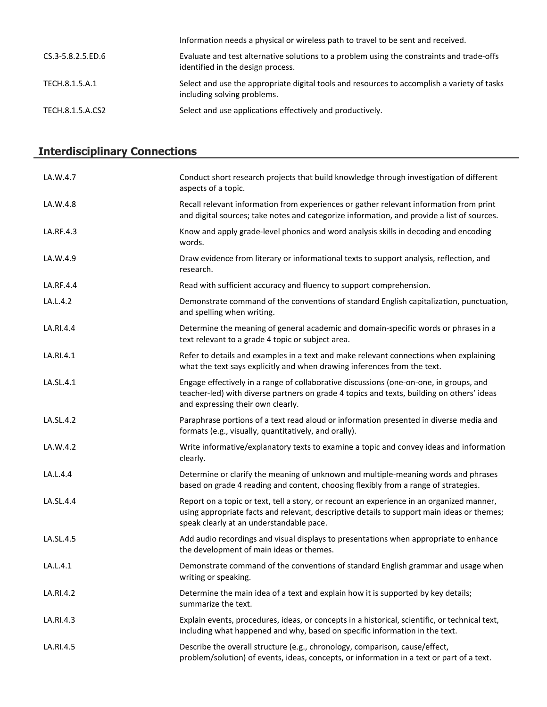|                   | Information needs a physical or wireless path to travel to be sent and received.                                               |
|-------------------|--------------------------------------------------------------------------------------------------------------------------------|
| CS.3-5.8.2.5.ED.6 | Evaluate and test alternative solutions to a problem using the constraints and trade-offs<br>identified in the design process. |
| TECH.8.1.5.A.1    | Select and use the appropriate digital tools and resources to accomplish a variety of tasks<br>including solving problems.     |
| TECH.8.1.5.A.CS2  | Select and use applications effectively and productively.                                                                      |

# **Interdisciplinary Connections**

| LA.W.4.7  | Conduct short research projects that build knowledge through investigation of different<br>aspects of a topic.                                                                                                                      |
|-----------|-------------------------------------------------------------------------------------------------------------------------------------------------------------------------------------------------------------------------------------|
| LA.W.4.8  | Recall relevant information from experiences or gather relevant information from print<br>and digital sources; take notes and categorize information, and provide a list of sources.                                                |
| LA.RF.4.3 | Know and apply grade-level phonics and word analysis skills in decoding and encoding<br>words.                                                                                                                                      |
| LA.W.4.9  | Draw evidence from literary or informational texts to support analysis, reflection, and<br>research.                                                                                                                                |
| LA.RF.4.4 | Read with sufficient accuracy and fluency to support comprehension.                                                                                                                                                                 |
| LA.L.4.2  | Demonstrate command of the conventions of standard English capitalization, punctuation,<br>and spelling when writing.                                                                                                               |
| LA.RI.4.4 | Determine the meaning of general academic and domain-specific words or phrases in a<br>text relevant to a grade 4 topic or subject area.                                                                                            |
| LA.RI.4.1 | Refer to details and examples in a text and make relevant connections when explaining<br>what the text says explicitly and when drawing inferences from the text.                                                                   |
| LA.SL.4.1 | Engage effectively in a range of collaborative discussions (one-on-one, in groups, and<br>teacher-led) with diverse partners on grade 4 topics and texts, building on others' ideas<br>and expressing their own clearly.            |
| LA.SL.4.2 | Paraphrase portions of a text read aloud or information presented in diverse media and<br>formats (e.g., visually, quantitatively, and orally).                                                                                     |
| LA.W.4.2  | Write informative/explanatory texts to examine a topic and convey ideas and information<br>clearly.                                                                                                                                 |
| LA.L.4.4  | Determine or clarify the meaning of unknown and multiple-meaning words and phrases<br>based on grade 4 reading and content, choosing flexibly from a range of strategies.                                                           |
| LA.SL.4.4 | Report on a topic or text, tell a story, or recount an experience in an organized manner,<br>using appropriate facts and relevant, descriptive details to support main ideas or themes;<br>speak clearly at an understandable pace. |
| LA.SL.4.5 | Add audio recordings and visual displays to presentations when appropriate to enhance<br>the development of main ideas or themes.                                                                                                   |
| LA.L.4.1  | Demonstrate command of the conventions of standard English grammar and usage when<br>writing or speaking.                                                                                                                           |
| LA.RI.4.2 | Determine the main idea of a text and explain how it is supported by key details;<br>summarize the text.                                                                                                                            |
| LA.RI.4.3 | Explain events, procedures, ideas, or concepts in a historical, scientific, or technical text,<br>including what happened and why, based on specific information in the text.                                                       |
| LA.RI.4.5 | Describe the overall structure (e.g., chronology, comparison, cause/effect,<br>problem/solution) of events, ideas, concepts, or information in a text or part of a text.                                                            |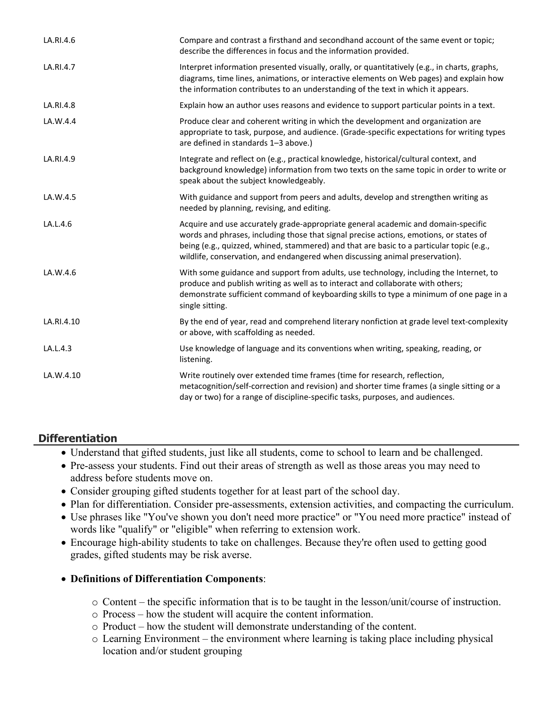| LA.RI.4.6  | Compare and contrast a firsthand and secondhand account of the same event or topic;<br>describe the differences in focus and the information provided.                                                                                                                                                                                                  |
|------------|---------------------------------------------------------------------------------------------------------------------------------------------------------------------------------------------------------------------------------------------------------------------------------------------------------------------------------------------------------|
| LA.RI.4.7  | Interpret information presented visually, orally, or quantitatively (e.g., in charts, graphs,<br>diagrams, time lines, animations, or interactive elements on Web pages) and explain how<br>the information contributes to an understanding of the text in which it appears.                                                                            |
| LA.RI.4.8  | Explain how an author uses reasons and evidence to support particular points in a text.                                                                                                                                                                                                                                                                 |
| LA.W.4.4   | Produce clear and coherent writing in which the development and organization are<br>appropriate to task, purpose, and audience. (Grade-specific expectations for writing types<br>are defined in standards 1-3 above.)                                                                                                                                  |
| LA.RI.4.9  | Integrate and reflect on (e.g., practical knowledge, historical/cultural context, and<br>background knowledge) information from two texts on the same topic in order to write or<br>speak about the subject knowledgeably.                                                                                                                              |
| LA.W.4.5   | With guidance and support from peers and adults, develop and strengthen writing as<br>needed by planning, revising, and editing.                                                                                                                                                                                                                        |
| LA.L.4.6   | Acquire and use accurately grade-appropriate general academic and domain-specific<br>words and phrases, including those that signal precise actions, emotions, or states of<br>being (e.g., quizzed, whined, stammered) and that are basic to a particular topic (e.g.,<br>wildlife, conservation, and endangered when discussing animal preservation). |
| LA.W.4.6   | With some guidance and support from adults, use technology, including the Internet, to<br>produce and publish writing as well as to interact and collaborate with others;<br>demonstrate sufficient command of keyboarding skills to type a minimum of one page in a<br>single sitting.                                                                 |
| LA.RI.4.10 | By the end of year, read and comprehend literary nonfiction at grade level text-complexity<br>or above, with scaffolding as needed.                                                                                                                                                                                                                     |
| LA.L.4.3   | Use knowledge of language and its conventions when writing, speaking, reading, or<br>listening.                                                                                                                                                                                                                                                         |
| LA.W.4.10  | Write routinely over extended time frames (time for research, reflection,<br>metacognition/self-correction and revision) and shorter time frames (a single sitting or a<br>day or two) for a range of discipline-specific tasks, purposes, and audiences.                                                                                               |

# **Differentiation**

- Understand that gifted students, just like all students, come to school to learn and be challenged.
- Pre-assess your students. Find out their areas of strength as well as those areas you may need to address before students move on.
- Consider grouping gifted students together for at least part of the school day.
- Plan for differentiation. Consider pre-assessments, extension activities, and compacting the curriculum.
- Use phrases like "You've shown you don't need more practice" or "You need more practice" instead of words like "qualify" or "eligible" when referring to extension work.
- Encourage high-ability students to take on challenges. Because they're often used to getting good grades, gifted students may be risk averse.

# **Definitions of Differentiation Components**:

- o Content the specific information that is to be taught in the lesson/unit/course of instruction.
- o Process how the student will acquire the content information.
- o Product how the student will demonstrate understanding of the content.
- o Learning Environment the environment where learning is taking place including physical location and/or student grouping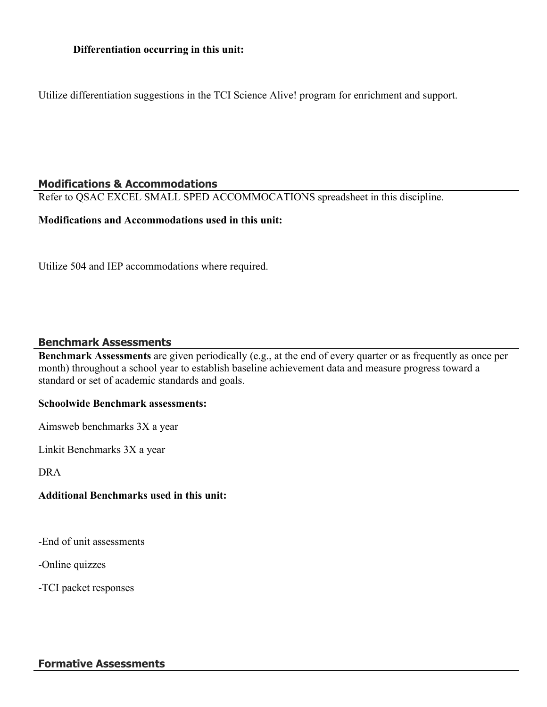### **Differentiation occurring in this unit:**

Utilize differentiation suggestions in the TCI Science Alive! program for enrichment and support.

### **Modifications & Accommodations**

Refer to QSAC EXCEL SMALL SPED ACCOMMOCATIONS spreadsheet in this discipline.

### **Modifications and Accommodations used in this unit:**

Utilize 504 and IEP accommodations where required.

#### **Benchmark Assessments**

**Benchmark Assessments** are given periodically (e.g., at the end of every quarter or as frequently as once per month) throughout a school year to establish baseline achievement data and measure progress toward a standard or set of academic standards and goals.

#### **Schoolwide Benchmark assessments:**

Aimsweb benchmarks 3X a year

Linkit Benchmarks 3X a year

DRA

### **Additional Benchmarks used in this unit:**

-End of unit assessments

-Online quizzes

-TCI packet responses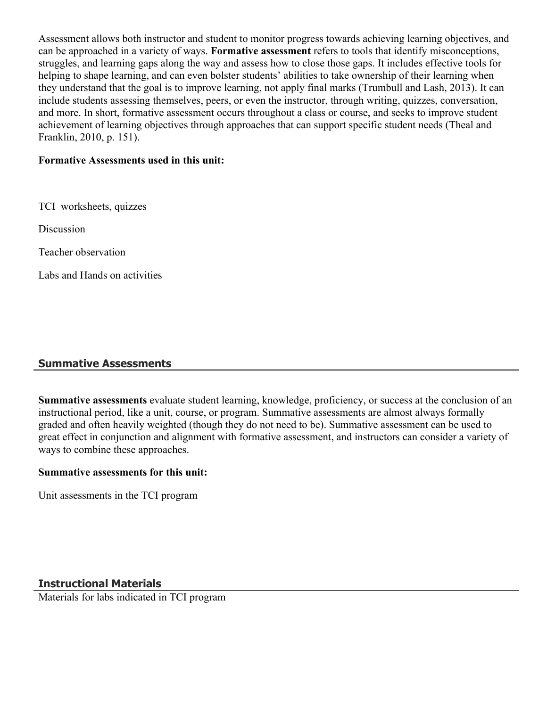Assessment allows both instructor and student to monitor progress towards achieving learning objectives, and can be approached in a variety of ways. **Formative assessment** refers to tools that identify misconceptions, struggles, and learning gaps along the way and assess how to close those gaps. It includes effective tools for helping to shape learning, and can even bolster students' abilities to take ownership of their learning when they understand that the goal is to improve learning, not apply final marks (Trumbull and Lash, 2013). It can include students assessing themselves, peers, or even the instructor, through writing, quizzes, conversation, and more. In short, formative assessment occurs throughout a class or course, and seeks to improve student achievement of learning objectives through approaches that can support specific student needs (Theal and Franklin, 2010, p. 151).

### **Formative Assessments used in this unit:**

TCI worksheets, quizzes

Discussion

Teacher observation

Labs and Hands on activities

# **Summative Assessments**

**Summative assessments** evaluate student learning, knowledge, proficiency, or success at the conclusion of an instructional period, like a unit, course, or program. Summative assessments are almost always formally graded and often heavily weighted (though they do not need to be). Summative assessment can be used to great effect in conjunction and alignment with formative assessment, and instructors can consider a variety of ways to combine these approaches.

### **Summative assessments for this unit:**

Unit assessments in the TCI program

# **Instructional Materials**

Materials for labs indicated in TCI program